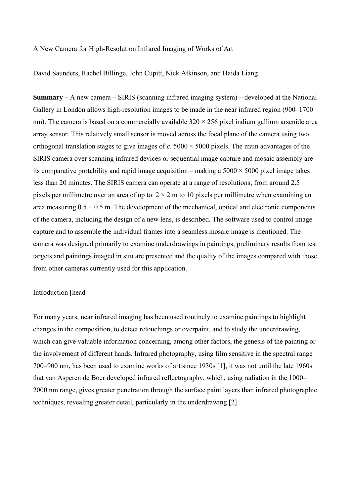A New Camera for High-Resolution Infrared Imaging of Works of Art

David Saunders, Rachel Billinge, John Cupitt, Nick Atkinson, and Haida Liang

**Summary** – A new camera – SIRIS (scanning infrared imaging system) – developed at the National Gallery in London allows high-resolution images to be made in the near infrared region (900–1700 nm). The camera is based on a commercially available  $320 \times 256$  pixel indium gallium arsenide area array sensor. This relatively small sensor is moved across the focal plane of the camera using two orthogonal translation stages to give images of  $c$ . 5000  $\times$  5000 pixels. The main advantages of the SIRIS camera over scanning infrared devices or sequential image capture and mosaic assembly are its comparative portability and rapid image acquisition – making a  $5000 \times 5000$  pixel image takes less than 20 minutes. The SIRIS camera can operate at a range of resolutions; from around 2.5 pixels per millimetre over an area of up to  $2 \times 2$  m to 10 pixels per millimetre when examining an area measuring  $0.5 \times 0.5$  m. The development of the mechanical, optical and electronic components of the camera, including the design of a new lens, is described. The software used to control image capture and to assemble the individual frames into a seamless mosaic image is mentioned. The camera was designed primarily to examine underdrawings in paintings; preliminary results from test targets and paintings imaged in situ are presented and the quality of the images compared with those from other cameras currently used for this application.

### Introduction [head]

For many years, near infrared imaging has been used routinely to examine paintings to highlight changes in the composition, to detect retouchings or overpaint, and to study the underdrawing, which can give valuable information concerning, among other factors, the genesis of the painting or the involvement of different hands. Infrared photography, using film sensitive in the spectral range 700–900 nm, has been used to examine works of art since 1930s [1], it was not until the late 1960s that van Asperen de Boer developed infrared reflectography, which, using radiation in the 1000– 2000 nm range, gives greater penetration through the surface paint layers than infrared photographic techniques, revealing greater detail, particularly in the underdrawing [2].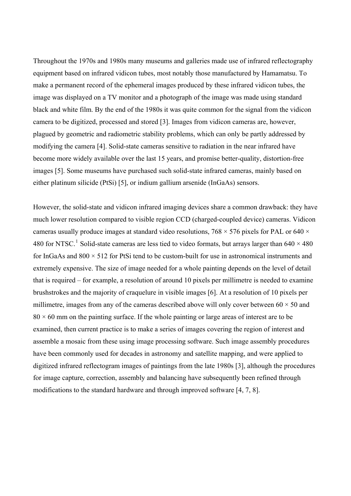Throughout the 1970s and 1980s many museums and galleries made use of infrared reflectography equipment based on infrared vidicon tubes, most notably those manufactured by Hamamatsu. To make a permanent record of the ephemeral images produced by these infrared vidicon tubes, the image was displayed on a TV monitor and a photograph of the image was made using standard black and white film. By the end of the 1980s it was quite common for the signal from the vidicon camera to be digitized, processed and stored [3]. Images from vidicon cameras are, however, plagued by geometric and radiometric stability problems, which can only be partly addressed by modifying the camera [4]. Solid-state cameras sensitive to radiation in the near infrared have become more widely available over the last 15 years, and promise better-quality, distortion-free images [5]. Some museums have purchased such solid-state infrared cameras, mainly based on either platinum silicide (PtSi) [5], or indium gallium arsenide (InGaAs) sensors.

<span id="page-1-0"></span>However, the solid-state and vidicon infrared imaging devices share a common drawback: they have much lower resolution compared to visible region CCD (charged-coupled device) cameras. Vidicon cameras usually produce images at standard video resolutions,  $768 \times 576$  pixels for PAL or 640  $\times$ 480 for NTSC.<sup>[1](#page-1-0)</sup> Solid-state cameras are less tied to video formats, but arrays larger than  $640 \times 480$ for InGaAs and  $800 \times 512$  for PtSi tend to be custom-built for use in astronomical instruments and extremely expensive. The size of image needed for a whole painting depends on the level of detail that is required – for example, a resolution of around 10 pixels per millimetre is needed to examine brushstrokes and the majority of craquelure in visible images [6]. At a resolution of 10 pixels per millimetre, images from any of the cameras described above will only cover between  $60 \times 50$  and  $80 \times 60$  mm on the painting surface. If the whole painting or large areas of interest are to be examined, then current practice is to make a series of images covering the region of interest and assemble a mosaic from these using image processing software. Such image assembly procedures have been commonly used for decades in astronomy and satellite mapping, and were applied to digitized infrared reflectogram images of paintings from the late 1980s [3], although the procedures for image capture, correction, assembly and balancing have subsequently been refined through modifications to the standard hardware and through improved software [4, 7, 8].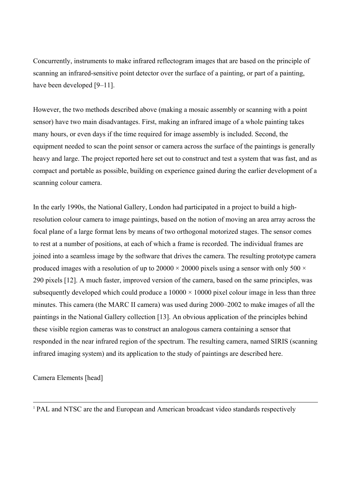Concurrently, instruments to make infrared reflectogram images that are based on the principle of scanning an infrared-sensitive point detector over the surface of a painting, or part of a painting, have been developed [9–11].

However, the two methods described above (making a mosaic assembly or scanning with a point sensor) have two main disadvantages. First, making an infrared image of a whole painting takes many hours, or even days if the time required for image assembly is included. Second, the equipment needed to scan the point sensor or camera across the surface of the paintings is generally heavy and large. The project reported here set out to construct and test a system that was fast, and as compact and portable as possible, building on experience gained during the earlier development of a scanning colour camera.

In the early 1990s, the National Gallery, London had participated in a project to build a highresolution colour camera to image paintings, based on the notion of moving an area array across the focal plane of a large format lens by means of two orthogonal motorized stages. The sensor comes to rest at a number of positions, at each of which a frame is recorded. The individual frames are joined into a seamless image by the software that drives the camera. The resulting prototype camera produced images with a resolution of up to 20000  $\times$  20000 pixels using a sensor with only 500  $\times$ 290 pixels [12]. A much faster, improved version of the camera, based on the same principles, was subsequently developed which could produce a  $10000 \times 10000$  pixel colour image in less than three minutes. This camera (the MARC II camera) was used during 2000–2002 to make images of all the paintings in the National Gallery collection [13]. An obvious application of the principles behind these visible region cameras was to construct an analogous camera containing a sensor that responded in the near infrared region of the spectrum. The resulting camera, named SIRIS (scanning infrared imaging system) and its application to the study of paintings are described here.

Camera Elements [head]

l

<sup>1</sup> PAL and NTSC are the and European and American broadcast video standards respectively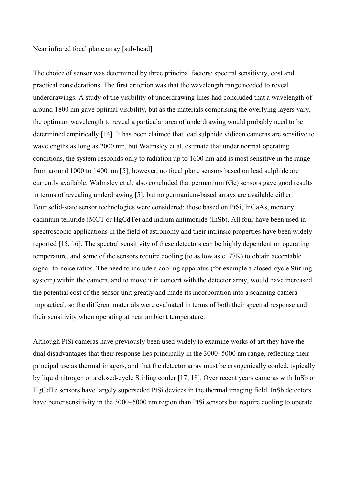### Near infrared focal plane array [sub-head]

The choice of sensor was determined by three principal factors: spectral sensitivity, cost and practical considerations. The first criterion was that the wavelength range needed to reveal underdrawings. A study of the visibility of underdrawing lines had concluded that a wavelength of around 1800 nm gave optimal visibility, but as the materials comprising the overlying layers vary, the optimum wavelength to reveal a particular area of underdrawing would probably need to be determined empirically [14]. It has been claimed that lead sulphide vidicon cameras are sensitive to wavelengths as long as 2000 nm, but Walmsley et al. estimate that under normal operating conditions, the system responds only to radiation up to 1600 nm and is most sensitive in the range from around 1000 to 1400 nm [5]; however, no focal plane sensors based on lead sulphide are currently available. Walmsley et al. also concluded that germanium (Ge) sensors gave good results in terms of revealing underdrawing [5], but no germanium-based arrays are available either. Four solid-state sensor technologies were considered: those based on PtSi, InGaAs, mercury cadmium telluride (MCT or HgCdTe) and indium antimonide (InSb). All four have been used in spectroscopic applications in the field of astronomy and their intrinsic properties have been widely reported [15, 16]. The spectral sensitivity of these detectors can be highly dependent on operating temperature, and some of the sensors require cooling (to as low as c. 77K) to obtain acceptable signal-to-noise ratios. The need to include a cooling apparatus (for example a closed-cycle Stirling system) within the camera, and to move it in concert with the detector array, would have increased the potential cost of the sensor unit greatly and made its incorporation into a scanning camera impractical, so the different materials were evaluated in terms of both their spectral response and their sensitivity when operating at near ambient temperature.

Although PtSi cameras have previously been used widely to examine works of art they have the dual disadvantages that their response lies principally in the 3000–5000 nm range, reflecting their principal use as thermal imagers, and that the detector array must be cryogenically cooled, typically by liquid nitrogen or a closed-cycle Stirling cooler [17, 18]. Over recent years cameras with InSb or HgCdTe sensors have largely superseded PtSi devices in the thermal imaging field. InSb detectors have better sensitivity in the 3000–5000 nm region than PtSi sensors but require cooling to operate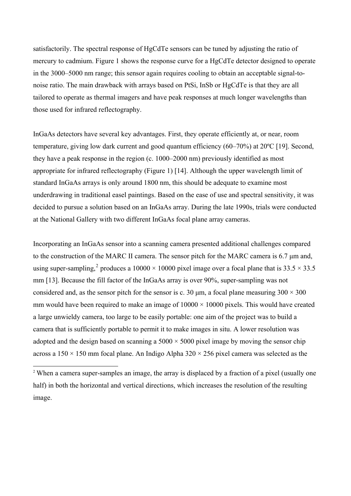<span id="page-4-0"></span>satisfactorily. The spectral response of HgCdTe sensors can be tuned by adjusting the ratio of mercury to cadmium. Figure 1 shows the response curve for a HgCdTe detector designed to operate in the 3000–5000 nm range; this sensor again requires cooling to obtain an acceptable signal-tonoise ratio. The main drawback with arrays based on PtSi, InSb or HgCdTe is that they are all tailored to operate as thermal imagers and have peak responses at much longer wavelengths than those used for infrared reflectography.

InGaAs detectors have several key advantages. First, they operate efficiently at, or near, room temperature, giving low dark current and good quantum efficiency (60–70%) at 20ºC [19]. Second, they have a peak response in the region (c. 1000–2000 nm) previously identified as most appropriate for infrared reflectography (Figure 1) [14]. Although the upper wavelength limit of standard InGaAs arrays is only around 1800 nm, this should be adequate to examine most underdrawing in traditional easel paintings. Based on the ease of use and spectral sensitivity, it was decided to pursue a solution based on an InGaAs array. During the late 1990s, trials were conducted at the National Gallery with two different InGaAs focal plane array cameras.

Incorporating an InGaAs sensor into a scanning camera presented additional challenges compared to the construction of the MARC II camera. The sensor pitch for the MARC camera is 6.7 μm and, using super-sampling,<sup>[2](#page-4-0)</sup> produces a 10000  $\times$  10000 pixel image over a focal plane that is 33.5  $\times$  33.5 mm [13]. Because the fill factor of the InGaAs array is over 90%, super-sampling was not considered and, as the sensor pitch for the sensor is c. 30  $\mu$ m, a focal plane measuring 300  $\times$  300 mm would have been required to make an image of  $10000 \times 10000$  pixels. This would have created a large unwieldy camera, too large to be easily portable: one aim of the project was to build a camera that is sufficiently portable to permit it to make images in situ. A lower resolution was adopted and the design based on scanning a  $5000 \times 5000$  pixel image by moving the sensor chip across a  $150 \times 150$  mm focal plane. An Indigo Alpha 320  $\times$  256 pixel camera was selected as the

l

<sup>&</sup>lt;sup>2</sup> When a camera super-samples an image, the array is displaced by a fraction of a pixel (usually one half) in both the horizontal and vertical directions, which increases the resolution of the resulting image.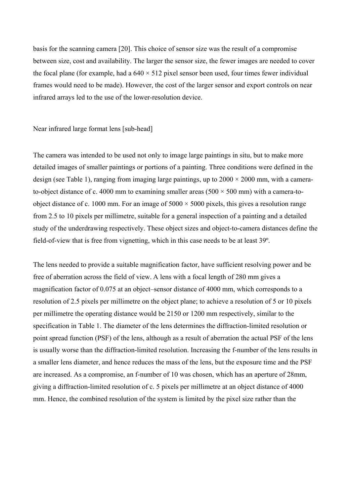basis for the scanning camera [20]. This choice of sensor size was the result of a compromise between size, cost and availability. The larger the sensor size, the fewer images are needed to cover the focal plane (for example, had a  $640 \times 512$  pixel sensor been used, four times fewer individual frames would need to be made). However, the cost of the larger sensor and export controls on near infrared arrays led to the use of the lower-resolution device.

### Near infrared large format lens [sub-head]

The camera was intended to be used not only to image large paintings in situ, but to make more detailed images of smaller paintings or portions of a painting. Three conditions were defined in the design (see Table 1), ranging from imaging large paintings, up to  $2000 \times 2000$  mm, with a camerato-object distance of c. 4000 mm to examining smaller areas ( $500 \times 500$  mm) with a camera-toobject distance of c. 1000 mm. For an image of  $5000 \times 5000$  pixels, this gives a resolution range from 2.5 to 10 pixels per millimetre, suitable for a general inspection of a painting and a detailed study of the underdrawing respectively. These object sizes and object-to-camera distances define the field-of-view that is free from vignetting, which in this case needs to be at least 39º.

The lens needed to provide a suitable magnification factor, have sufficient resolving power and be free of aberration across the field of view. A lens with a focal length of 280 mm gives a magnification factor of 0.075 at an object–sensor distance of 4000 mm, which corresponds to a resolution of 2.5 pixels per millimetre on the object plane; to achieve a resolution of 5 or 10 pixels per millimetre the operating distance would be 2150 or 1200 mm respectively, similar to the specification in Table 1. The diameter of the lens determines the diffraction-limited resolution or point spread function (PSF) of the lens, although as a result of aberration the actual PSF of the lens is usually worse than the diffraction-limited resolution. Increasing the f-number of the lens results in a smaller lens diameter, and hence reduces the mass of the lens, but the exposure time and the PSF are increased. As a compromise, an f-number of 10 was chosen, which has an aperture of 28mm, giving a diffraction-limited resolution of c. 5 pixels per millimetre at an object distance of 4000 mm. Hence, the combined resolution of the system is limited by the pixel size rather than the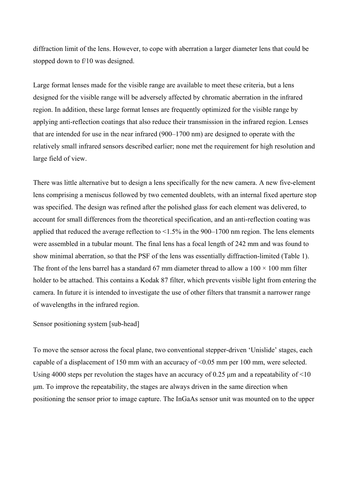diffraction limit of the lens. However, to cope with aberration a larger diameter lens that could be stopped down to f/10 was designed.

Large format lenses made for the visible range are available to meet these criteria, but a lens designed for the visible range will be adversely affected by chromatic aberration in the infrared region. In addition, these large format lenses are frequently optimized for the visible range by applying anti-reflection coatings that also reduce their transmission in the infrared region. Lenses that are intended for use in the near infrared (900–1700 nm) are designed to operate with the relatively small infrared sensors described earlier; none met the requirement for high resolution and large field of view.

There was little alternative but to design a lens specifically for the new camera. A new five-element lens comprising a meniscus followed by two cemented doublets, with an internal fixed aperture stop was specified. The design was refined after the polished glass for each element was delivered, to account for small differences from the theoretical specification, and an anti-reflection coating was applied that reduced the average reflection to <1.5% in the 900–1700 nm region. The lens elements were assembled in a tubular mount. The final lens has a focal length of 242 mm and was found to show minimal aberration, so that the PSF of the lens was essentially diffraction-limited (Table 1). The front of the lens barrel has a standard 67 mm diameter thread to allow a  $100 \times 100$  mm filter holder to be attached. This contains a Kodak 87 filter, which prevents visible light from entering the camera. In future it is intended to investigate the use of other filters that transmit a narrower range of wavelengths in the infrared region.

### Sensor positioning system [sub-head]

To move the sensor across the focal plane, two conventional stepper-driven 'Unislide' stages, each capable of a displacement of 150 mm with an accuracy of <0.05 mm per 100 mm, were selected. Using 4000 steps per revolution the stages have an accuracy of 0.25  $\mu$ m and a repeatability of <10 μm. To improve the repeatability, the stages are always driven in the same direction when positioning the sensor prior to image capture. The InGaAs sensor unit was mounted on to the upper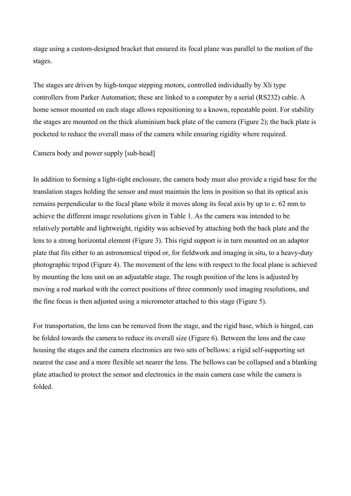stage using a custom-designed bracket that ensured its focal plane was parallel to the motion of the stages.

The stages are driven by high-torque stepping motors, controlled individually by Xli type controllers from Parker Automation; these are linked to a computer by a serial (RS232) cable. A home sensor mounted on each stage allows repositioning to a known, repeatable point. For stability the stages are mounted on the thick aluminium back plate of the camera (Figure 2); the back plate is pocketed to reduce the overall mass of the camera while ensuring rigidity where required.

Camera body and power supply [sub-head]

In addition to forming a light-tight enclosure, the camera body must also provide a rigid base for the translation stages holding the sensor and must maintain the lens in position so that its optical axis remains perpendicular to the focal plane while it moves along its focal axis by up to c. 62 mm to achieve the different image resolutions given in Table 1. As the camera was intended to be relatively portable and lightweight, rigidity was achieved by attaching both the back plate and the lens to a strong horizontal element (Figure 3). This rigid support is in turn mounted on an adaptor plate that fits either to an astronomical tripod or, for fieldwork and imaging in situ, to a heavy-duty photographic tripod (Figure 4). The movement of the lens with respect to the focal plane is achieved by mounting the lens unit on an adjustable stage. The rough position of the lens is adjusted by moving a rod marked with the correct positions of three commonly used imaging resolutions, and the fine focus is then adjusted using a micrometer attached to this stage (Figure 5).

For transportation, the lens can be removed from the stage, and the rigid base, which is hinged, can be folded towards the camera to reduce its overall size (Figure 6). Between the lens and the case housing the stages and the camera electronics are two sets of bellows: a rigid self-supporting set nearest the case and a more flexible set nearer the lens. The bellows can be collapsed and a blanking plate attached to protect the sensor and electronics in the main camera case while the camera is folded.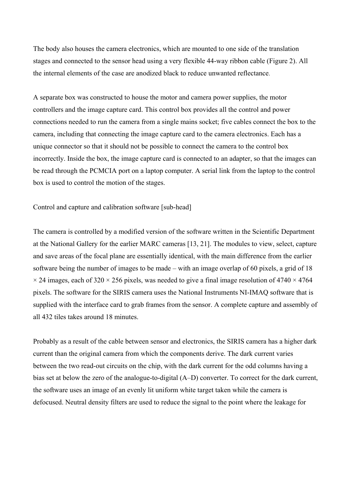The body also houses the camera electronics, which are mounted to one side of the translation stages and connected to the sensor head using a very flexible 44-way ribbon cable (Figure 2). All the internal elements of the case are anodized black to reduce unwanted reflectance.

A separate box was constructed to house the motor and camera power supplies, the motor controllers and the image capture card. This control box provides all the control and power connections needed to run the camera from a single mains socket; five cables connect the box to the camera, including that connecting the image capture card to the camera electronics. Each has a unique connector so that it should not be possible to connect the camera to the control box incorrectly. Inside the box, the image capture card is connected to an adapter, so that the images can be read through the PCMCIA port on a laptop computer. A serial link from the laptop to the control box is used to control the motion of the stages.

Control and capture and calibration software [sub-head]

The camera is controlled by a modified version of the software written in the Scientific Department at the National Gallery for the earlier MARC cameras [13, 21]. The modules to view, select, capture and save areas of the focal plane are essentially identical, with the main difference from the earlier software being the number of images to be made – with an image overlap of 60 pixels, a grid of 18  $\times$  24 images, each of 320  $\times$  256 pixels, was needed to give a final image resolution of 4740  $\times$  4764 pixels. The software for the SIRIS camera uses the National Instruments NI-IMAQ software that is supplied with the interface card to grab frames from the sensor. A complete capture and assembly of all 432 tiles takes around 18 minutes.

Probably as a result of the cable between sensor and electronics, the SIRIS camera has a higher dark current than the original camera from which the components derive. The dark current varies between the two read-out circuits on the chip, with the dark current for the odd columns having a bias set at below the zero of the analogue-to-digital (A–D) converter. To correct for the dark current, the software uses an image of an evenly lit uniform white target taken while the camera is defocused. Neutral density filters are used to reduce the signal to the point where the leakage for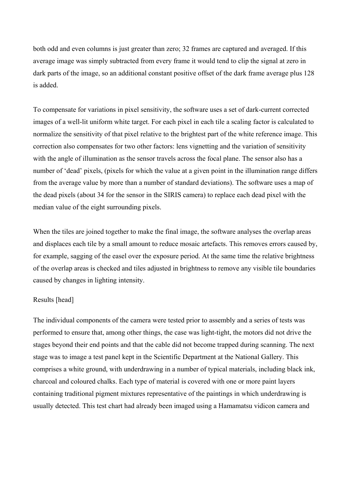both odd and even columns is just greater than zero; 32 frames are captured and averaged. If this average image was simply subtracted from every frame it would tend to clip the signal at zero in dark parts of the image, so an additional constant positive offset of the dark frame average plus 128 is added.

To compensate for variations in pixel sensitivity, the software uses a set of dark-current corrected images of a well-lit uniform white target. For each pixel in each tile a scaling factor is calculated to normalize the sensitivity of that pixel relative to the brightest part of the white reference image. This correction also compensates for two other factors: lens vignetting and the variation of sensitivity with the angle of illumination as the sensor travels across the focal plane. The sensor also has a number of 'dead' pixels, (pixels for which the value at a given point in the illumination range differs from the average value by more than a number of standard deviations). The software uses a map of the dead pixels (about 34 for the sensor in the SIRIS camera) to replace each dead pixel with the median value of the eight surrounding pixels.

When the tiles are joined together to make the final image, the software analyses the overlap areas and displaces each tile by a small amount to reduce mosaic artefacts. This removes errors caused by, for example, sagging of the easel over the exposure period. At the same time the relative brightness of the overlap areas is checked and tiles adjusted in brightness to remove any visible tile boundaries caused by changes in lighting intensity.

## Results [head]

The individual components of the camera were tested prior to assembly and a series of tests was performed to ensure that, among other things, the case was light-tight, the motors did not drive the stages beyond their end points and that the cable did not become trapped during scanning. The next stage was to image a test panel kept in the Scientific Department at the National Gallery. This comprises a white ground, with underdrawing in a number of typical materials, including black ink, charcoal and coloured chalks. Each type of material is covered with one or more paint layers containing traditional pigment mixtures representative of the paintings in which underdrawing is usually detected. This test chart had already been imaged using a Hamamatsu vidicon camera and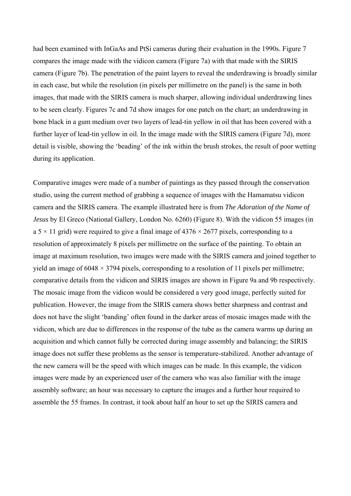had been examined with InGaAs and PtSi cameras during their evaluation in the 1990s. Figure 7 compares the image made with the vidicon camera (Figure 7a) with that made with the SIRIS camera (Figure 7b). The penetration of the paint layers to reveal the underdrawing is broadly similar in each case, but while the resolution (in pixels per millimetre on the panel) is the same in both images, that made with the SIRIS camera is much sharper, allowing individual underdrawing lines to be seen clearly. Figures 7c and 7d show images for one patch on the chart; an underdrawing in bone black in a gum medium over two layers of lead-tin yellow in oil that has been covered with a further layer of lead-tin yellow in oil. In the image made with the SIRIS camera (Figure 7d), more detail is visible, showing the 'beading' of the ink within the brush strokes, the result of poor wetting during its application.

Comparative images were made of a number of paintings as they passed through the conservation studio, using the current method of grabbing a sequence of images with the Hamamatsu vidicon camera and the SIRIS camera. The example illustrated here is from *The Adoration of the Name of Jesus* by El Greco (National Gallery, London No. 6260) (Figure 8). With the vidicon 55 images (in a 5  $\times$  11 grid) were required to give a final image of 4376  $\times$  2677 pixels, corresponding to a resolution of approximately 8 pixels per millimetre on the surface of the painting. To obtain an image at maximum resolution, two images were made with the SIRIS camera and joined together to yield an image of  $6048 \times 3794$  pixels, corresponding to a resolution of 11 pixels per millimetre; comparative details from the vidicon and SIRIS images are shown in Figure 9a and 9b respectively. The mosaic image from the vidicon would be considered a very good image, perfectly suited for publication. However, the image from the SIRIS camera shows better sharpness and contrast and does not have the slight 'banding' often found in the darker areas of mosaic images made with the vidicon, which are due to differences in the response of the tube as the camera warms up during an acquisition and which cannot fully be corrected during image assembly and balancing; the SIRIS image does not suffer these problems as the sensor is temperature-stabilized. Another advantage of the new camera will be the speed with which images can be made. In this example, the vidicon images were made by an experienced user of the camera who was also familiar with the image assembly software; an hour was necessary to capture the images and a further hour required to assemble the 55 frames. In contrast, it took about half an hour to set up the SIRIS camera and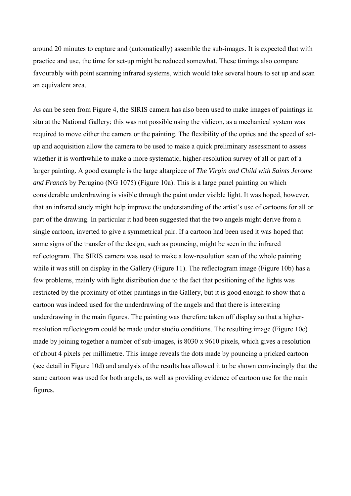around 20 minutes to capture and (automatically) assemble the sub-images. It is expected that with practice and use, the time for set-up might be reduced somewhat. These timings also compare favourably with point scanning infrared systems, which would take several hours to set up and scan an equivalent area.

As can be seen from Figure 4, the SIRIS camera has also been used to make images of paintings in situ at the National Gallery; this was not possible using the vidicon, as a mechanical system was required to move either the camera or the painting. The flexibility of the optics and the speed of setup and acquisition allow the camera to be used to make a quick preliminary assessment to assess whether it is worthwhile to make a more systematic, higher-resolution survey of all or part of a larger painting. A good example is the large altarpiece of *The Virgin and Child with Saints Jerome and Francis* by Perugino (NG 1075) (Figure 10a). This is a large panel painting on which considerable underdrawing is visible through the paint under visible light. It was hoped, however, that an infrared study might help improve the understanding of the artist's use of cartoons for all or part of the drawing. In particular it had been suggested that the two angels might derive from a single cartoon, inverted to give a symmetrical pair. If a cartoon had been used it was hoped that some signs of the transfer of the design, such as pouncing, might be seen in the infrared reflectogram. The SIRIS camera was used to make a low-resolution scan of the whole painting while it was still on display in the Gallery (Figure 11). The reflectogram image (Figure 10b) has a few problems, mainly with light distribution due to the fact that positioning of the lights was restricted by the proximity of other paintings in the Gallery, but it is good enough to show that a cartoon was indeed used for the underdrawing of the angels and that there is interesting underdrawing in the main figures. The painting was therefore taken off display so that a higherresolution reflectogram could be made under studio conditions. The resulting image (Figure 10c) made by joining together a number of sub-images, is 8030 x 9610 pixels, which gives a resolution of about 4 pixels per millimetre. This image reveals the dots made by pouncing a pricked cartoon (see detail in Figure 10d) and analysis of the results has allowed it to be shown convincingly that the same cartoon was used for both angels, as well as providing evidence of cartoon use for the main figures.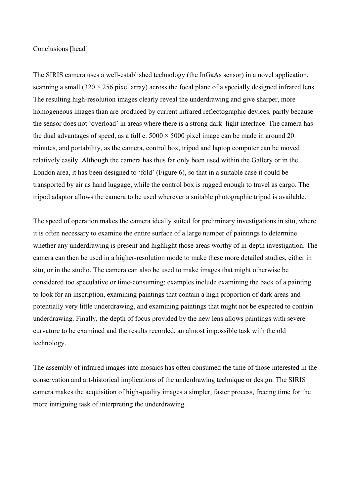# Conclusions [head]

The SIRIS camera uses a well-established technology (the InGaAs sensor) in a novel application, scanning a small  $(320 \times 256$  pixel array) across the focal plane of a specially designed infrared lens. The resulting high-resolution images clearly reveal the underdrawing and give sharper, more homogeneous images than are produced by current infrared reflectographic devices, partly because the sensor does not 'overload' in areas where there is a strong dark–light interface. The camera has the dual advantages of speed, as a full c.  $5000 \times 5000$  pixel image can be made in around 20 minutes, and portability, as the camera, control box, tripod and laptop computer can be moved relatively easily. Although the camera has thus far only been used within the Gallery or in the London area, it has been designed to 'fold' (Figure 6), so that in a suitable case it could be transported by air as hand luggage, while the control box is rugged enough to travel as cargo. The tripod adaptor allows the camera to be used wherever a suitable photographic tripod is available.

The speed of operation makes the camera ideally suited for preliminary investigations in situ, where it is often necessary to examine the entire surface of a large number of paintings to determine whether any underdrawing is present and highlight those areas worthy of in-depth investigation. The camera can then be used in a higher-resolution mode to make these more detailed studies, either in situ, or in the studio. The camera can also be used to make images that might otherwise be considered too speculative or time-consuming; examples include examining the back of a painting to look for an inscription, examining paintings that contain a high proportion of dark areas and potentially very little underdrawing, and examining paintings that might not be expected to contain underdrawing. Finally, the depth of focus provided by the new lens allows paintings with severe curvature to be examined and the results recorded, an almost impossible task with the old technology.

The assembly of infrared images into mosaics has often consumed the time of those interested in the conservation and art-historical implications of the underdrawing technique or design. The SIRIS camera makes the acquisition of high-quality images a simpler, faster process, freeing time for the more intriguing task of interpreting the underdrawing.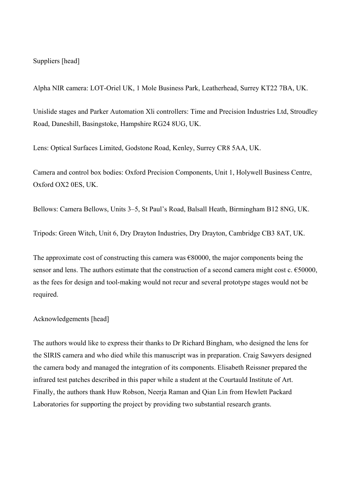## Suppliers [head]

Alpha NIR camera: LOT-Oriel UK, 1 Mole Business Park, Leatherhead, Surrey KT22 7BA, UK.

Unislide stages and Parker Automation Xli controllers: Time and Precision Industries Ltd, Stroudley Road, Daneshill, Basingstoke, Hampshire RG24 8UG, UK.

Lens: Optical Surfaces Limited, Godstone Road, Kenley, Surrey CR8 5AA, UK.

Camera and control box bodies: Oxford Precision Components, Unit 1, Holywell Business Centre, Oxford OX2 0ES, UK.

Bellows: Camera Bellows, Units 3–5, St Paul's Road, Balsall Heath, Birmingham B12 8NG, UK.

Tripods: Green Witch, Unit 6, Dry Drayton Industries, Dry Drayton, Cambridge CB3 8AT, UK.

The approximate cost of constructing this camera was  $\epsilon$ 80000, the major components being the sensor and lens. The authors estimate that the construction of a second camera might cost c. €50000, as the fees for design and tool-making would not recur and several prototype stages would not be required.

Acknowledgements [head]

The authors would like to express their thanks to Dr Richard Bingham, who designed the lens for the SIRIS camera and who died while this manuscript was in preparation. Craig Sawyers designed the camera body and managed the integration of its components. Elisabeth Reissner prepared the infrared test patches described in this paper while a student at the Courtauld Institute of Art. Finally, the authors thank Huw Robson, Neerja Raman and Qian Lin from Hewlett Packard Laboratories for supporting the project by providing two substantial research grants.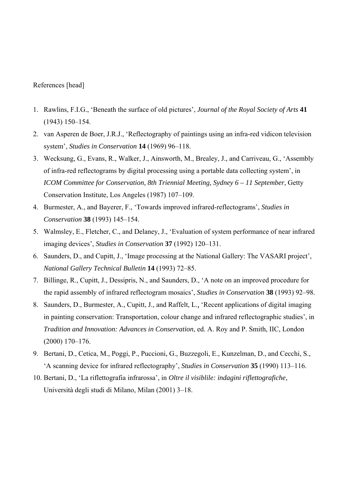### References [head]

- 1. Rawlins, F.I.G., 'Beneath the surface of old pictures', *Journal of the Royal Society of Arts* **41** (1943) 150–154.
- 2. van Asperen de Boer, J.R.J., 'Reflectography of paintings using an infra-red vidicon television system', *Studies in Conservation* **14** (1969) 96–118.
- 3. Wecksung, G., Evans, R., Walker, J., Ainsworth, M., Brealey, J., and Carriveau, G., 'Assembly of infra-red reflectograms by digital processing using a portable data collecting system', in *ICOM Committee for Conservation, 8th Triennial Meeting, Sydney 6 – 11 September,* Getty Conservation Institute, Los Angeles (1987) 107–109.
- 4. Burmester, A., and Bayerer, F., 'Towards improved infrared-reflectograms', *Studies in Conservation* **38** (1993) 145–154.
- 5. Walmsley, E., Fletcher, C., and Delaney, J., 'Evaluation of system performance of near infrared imaging devices', *Studies in Conservation* **37** (1992) 120–131.
- 6. Saunders, D., and Cupitt, J., 'Image processing at the National Gallery: The VASARI project', *National Gallery Technical Bulletin* **14** (1993) 72–85.
- 7. Billinge, R., Cupitt, J., Dessipris, N., and Saunders, D., 'A note on an improved procedure for the rapid assembly of infrared reflectogram mosaics', *Studies in Conservation* **38** (1993) 92–98.
- 8. Saunders, D., Burmester, A., Cupitt, J., and Raffelt, L., 'Recent applications of digital imaging in painting conservation: Transportation, colour change and infrared reflectographic studies', in *Tradition and Innovation: Advances in Conservation*, ed. A. Roy and P. Smith, IIC, London (2000) 170–176.
- 9. Bertani, D., Cetica, M., Poggi, P., Puccioni, G., Buzzegoli, E., Kunzelman, D., and Cecchi, S., 'A scanning device for infrared reflectography', *Studies in Conservation* **35** (1990) 113–116.
- 10. Bertani, D., 'La riflettografia infrarossa', in *Oltre il visiblile: indagini riflettografiche*, Università degli studi di Milano, Milan (2001) 3–18.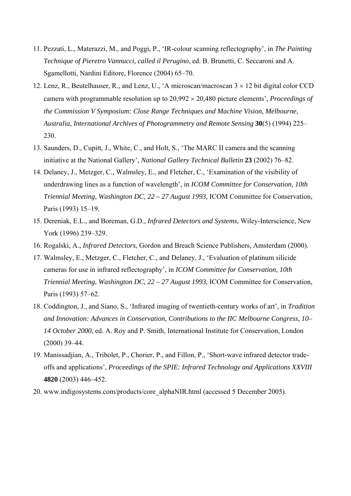- 11. Pezzati, L., Materazzi, M., and Poggi, P., 'IR-colour scanning reflectography', in *The Painting Technique of Pieretro Vannucci, called il Perugino*, ed. B. Brunetti, C. Seccaroni and A. Sgamellotti, Nardini Editore, Florence (2004) 65–70.
- 12. Lenz, R., Beutelhauser, R., and Lenz, U., 'A microscan/macroscan 3 × 12 bit digital color CCD camera with programmable resolution up to 20,992 × 20,480 picture elements', *Proceedings of the Commission V Symposium: Close Range Techniques and Machine Vision, Melbourne, Australia, International Archives of Photogrammetry and Remote Sensing* **30**(5) (1994) 225– 230.
- 13. Saunders, D., Cupitt, J., White, C., and Holt, S., 'The MARC II camera and the scanning initiative at the National Gallery', *National Gallery Technical Bulletin* **23** (2002) 76–82.
- 14. Delaney, J., Metzger, C., Walmsley, E., and Fletcher, C., 'Examination of the visibility of underdrawing lines as a function of wavelength', in *ICOM Committee for Conservation, 10th Triennial Meeting*, *Washington DC, 22 – 27 August 1993,* ICOM Committee for Conservation, Paris (1993) 15–19.
- 15. Dereniak, E.L., and Boreman, G.D., *Infrared Detectors and Systems*, Wiley-Interscience, New York (1996) 239–329.
- 16. Rogalski, A., *Infrared Detectors*, Gordon and Breach Science Publishers, Amsterdam (2000).
- 17. Walmsley, E., Metzger, C., Fletcher, C., and Delaney, J., 'Evaluation of platinum silicide cameras for use in infrared reflectography', in *ICOM Committee for Conservation, 10th Triennial Meeting*, *Washington DC, 22 – 27 August 1993,* ICOM Committee for Conservation, Paris (1993) 57–62.
- 18. Coddington, J., and Siano, S., 'Infrared imaging of twentieth-century works of art', in *Tradition and Innovation: Advances in Conservation, Contributions to the IIC Melbourne Congress, 10– 14 October 2000*, ed. A. Roy and P. Smith, International Institute for Conservation, London (2000) 39–44.
- 19. Manissadjian, A., Tribolet, P., Chorier, P., and Fillon, P., 'Short-wave infrared detector tradeoffs and applications', *Proceedings of the SPIE: Infrared Technology and Applications XXVIII* **4820** (2003) 446–452.
- 20. www.indigosystems.com/products/core\_alphaNIR.html (accessed 5 December 2005).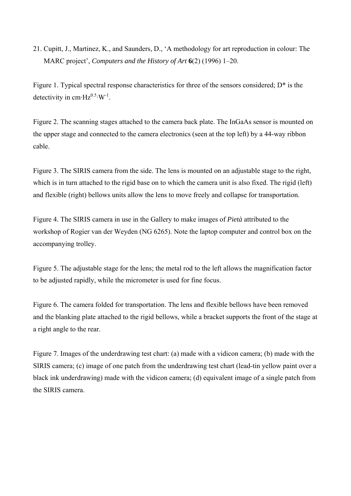21. Cupitt, J., Martinez, K., and Saunders, D., 'A methodology for art reproduction in colour: The MARC project', *Computers and the History of Art* **6**(2) (1996) 1–20.

Figure 1. Typical spectral response characteristics for three of the sensors considered; D\* is the detectivity in cm $Hz^{0.5}\cdot W^{1}$ .

Figure 2. The scanning stages attached to the camera back plate. The InGaAs sensor is mounted on the upper stage and connected to the camera electronics (seen at the top left) by a 44-way ribbon cable.

Figure 3. The SIRIS camera from the side. The lens is mounted on an adjustable stage to the right, which is in turn attached to the rigid base on to which the camera unit is also fixed. The rigid (left) and flexible (right) bellows units allow the lens to move freely and collapse for transportation.

Figure 4. The SIRIS camera in use in the Gallery to make images of *Pietà* attributed to the workshop of Rogier van der Weyden (NG 6265). Note the laptop computer and control box on the accompanying trolley.

Figure 5. The adjustable stage for the lens; the metal rod to the left allows the magnification factor to be adjusted rapidly, while the micrometer is used for fine focus.

Figure 6. The camera folded for transportation. The lens and flexible bellows have been removed and the blanking plate attached to the rigid bellows, while a bracket supports the front of the stage at a right angle to the rear.

Figure 7. Images of the underdrawing test chart: (a) made with a vidicon camera; (b) made with the SIRIS camera; (c) image of one patch from the underdrawing test chart (lead-tin yellow paint over a black ink underdrawing) made with the vidicon camera; (d) equivalent image of a single patch from the SIRIS camera.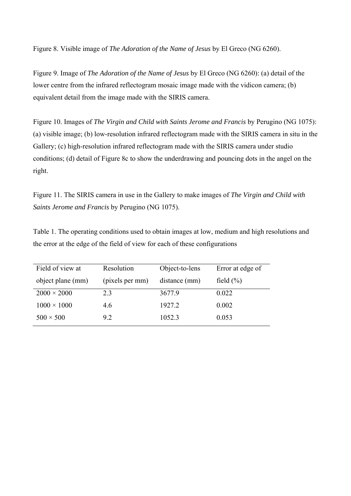Figure 8. Visible image of *The Adoration of the Name of Jesus* by El Greco (NG 6260).

Figure 9. Image of *The Adoration of the Name of Jesus* by El Greco (NG 6260): (a) detail of the lower centre from the infrared reflectogram mosaic image made with the vidicon camera; (b) equivalent detail from the image made with the SIRIS camera.

Figure 10. Images of *The Virgin and Child with Saints Jerome and Francis* by Perugino (NG 1075): (a) visible image; (b) low-resolution infrared reflectogram made with the SIRIS camera in situ in the Gallery; (c) high-resolution infrared reflectogram made with the SIRIS camera under studio conditions; (d) detail of Figure 8c to show the underdrawing and pouncing dots in the angel on the right.

Figure 11. The SIRIS camera in use in the Gallery to make images of *The Virgin and Child with Saints Jerome and Francis* by Perugino (NG 1075).

Table 1. The operating conditions used to obtain images at low, medium and high resolutions and the error at the edge of the field of view for each of these configurations

| Field of view at   | Resolution      | Object-to-lens | Error at edge of |
|--------------------|-----------------|----------------|------------------|
| object plane (mm)  | (pixels per mm) | distance (mm)  | field $(\% )$    |
| $2000 \times 2000$ | 2.3             | 3677.9         | 0.022            |
| $1000 \times 1000$ | 4.6             | 1927.2         | 0.002            |
| $500 \times 500$   | 9.2             | 1052.3         | 0.053            |
|                    |                 |                |                  |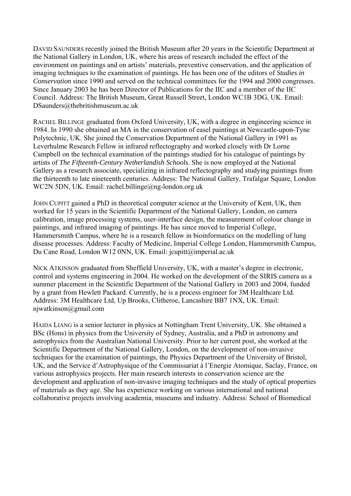DAVID SAUNDERS recently joined the British Museum after 20 years in the Scientific Department at the National Gallery in London, UK, where his areas of research included the effect of the environment on paintings and on artists' materials, preventive conservation, and the application of imaging techniques to the examination of paintings. He has been one of the editors of *Studies in Conservation* since 1990 and served on the technical committees for the 1994 and 2000 congresses. Since January 2003 he has been Director of Publications for the IIC and a member of the IIC Council. Address: The British Museum, Great Russell Street, London WC1B 3DG, UK. Email: DSaunders@thebritishmuseum.ac.uk

RACHEL BILLINGE graduated from Oxford University, UK, with a degree in engineering science in 1984. In 1990 she obtained an MA in the conservation of easel paintings at Newcastle-upon-Tyne Polytechnic, UK. She joined the Conservation Department of the National Gallery in 1991 as Leverhulme Research Fellow in infrared reflectography and worked closely with Dr Lorne Campbell on the technical examination of the paintings studied for his catalogue of paintings by artists of *The Fifteenth-Century Netherlandish Schools*. She is now employed at the National Gallery as a research associate, specializing in infrared reflectography and studying paintings from the thirteenth to late nineteenth centuries. Address: The National Gallery, Trafalgar Square, London WC2N 5DN, UK. Email: rachel.billinge@ng-london.org.uk

JOHN CUPITT gained a PhD in theoretical computer science at the University of Kent, UK, then worked for 15 years in the Scientific Department of the National Gallery, London, on camera calibration, image processing systems, user-interface design, the measurement of colour change in paintings, and infrared imaging of paintings. He has since moved to Imperial College, Hammersmith Campus, where he is a research fellow in bioinformatics on the modelling of lung disease processes. Address: Faculty of Medicine, Imperial College London, Hammersmith Campus, Du Cane Road, London W12 0NN, UK. Email: jcupitt@imperial.ac.uk

NICK ATKINSON graduated from Sheffield University, UK, with a master's degree in electronic, control and systems engineering in 2004. He worked on the development of the SIRIS camera as a summer placement in the Scientific Department of the National Gallery in 2003 and 2004, funded by a grant from Hewlett Packard. Currently, he is a process engineer for 3M Healthcare Ltd. Address: 3M Healthcare Ltd, Up Brooks, Clitheroe, Lancashire BB7 1NX, UK. Email: njwatkinson@gmail.com

HAIDA LIANG is a senior lecturer in physics at Nottingham Trent University, UK. She obtained a BSc (Hons) in physics from the University of Sydney, Australia, and a PhD in astronomy and astrophysics from the Australian National University. Prior to her current post, she worked at the Scientific Department of the National Gallery, London, on the development of non-invasive techniques for the examination of paintings, the Physics Department of the University of Bristol, UK, and the Service d'Astrophysique of the Commissariat à l'Energie Atomique, Saclay, France, on various astrophysics projects. Her main research interests in conservation science are the development and application of non-invasive imaging techniques and the study of optical properties of materials as they age. She has experience working on various international and national collaborative projects involving academia, museums and industry. Address: School of Biomedical